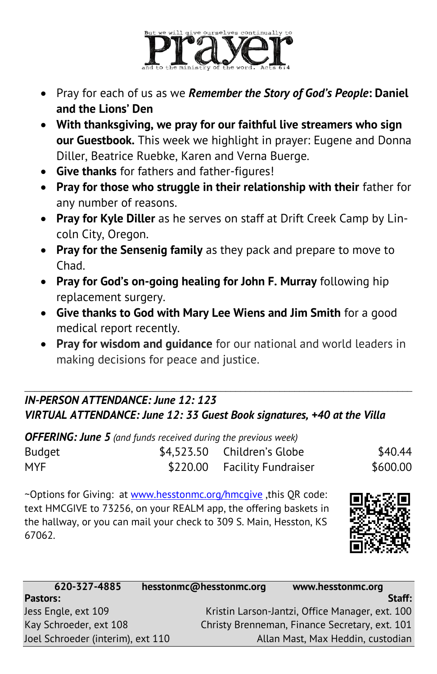

- Pray for each of us as we *Remember the Story of God's People***: Daniel and the Lions' Den**
- **With thanksgiving, we pray for our faithful live streamers who sign our Guestbook.** This week we highlight in prayer: Eugene and Donna Diller, Beatrice Ruebke, Karen and Verna Buerge.
- **Give thanks** for fathers and father-figures!
- **Pray for those who struggle in their relationship with their** father for any number of reasons.
- **Pray for Kyle Diller** as he serves on staff at Drift Creek Camp by Lincoln City, Oregon.
- **Pray for the Sensenig family** as they pack and prepare to move to Chad.
- **Pray for God's on-going healing for John F. Murray** following hip replacement surgery.
- **Give thanks to God with Mary Lee Wiens and Jim Smith** for a good medical report recently.
- **Pray for wisdom and guidance** for our national and world leaders in making decisions for peace and justice.

## \_\_\_\_\_\_\_\_\_\_\_\_\_\_\_\_\_\_\_\_\_\_\_\_\_\_\_\_\_\_\_\_\_\_\_\_\_\_\_\_\_\_\_\_\_\_\_\_\_\_\_\_\_\_\_\_\_\_\_\_\_\_\_\_\_\_\_\_\_\_\_\_\_\_\_\_\_\_\_ *IN-PERSON ATTENDANCE: June 12: 123 VIRTUAL ATTENDANCE: June 12: 33 Guest Book signatures, +40 at the Villa*

| <b>OFFERING: June 5</b> (and funds received during the previous week) |  |                              |          |  |  |
|-----------------------------------------------------------------------|--|------------------------------|----------|--|--|
| Budget                                                                |  | \$4,523.50 Children's Globe  | \$40.44  |  |  |
| MYF.                                                                  |  | \$220.00 Facility Fundraiser | \$600.00 |  |  |

~Options for Giving: at [www.hesstonmc.org/hmcgive](http://www.hesstonmc.org/hmcgive) ,this QR code: text HMCGIVE to 73256, on your REALM app, the offering baskets in the hallway, or you can mail your check to 309 S. Main, Hesston, KS 67062.



| 620-327-4885                      | hesstonmc@hesstonmc.org | www.hesstonmc.org                               |
|-----------------------------------|-------------------------|-------------------------------------------------|
| <b>Pastors:</b>                   |                         | Staff:                                          |
| Jess Engle, ext 109               |                         | Kristin Larson-Jantzi, Office Manager, ext. 100 |
| Kay Schroeder, ext 108            |                         | Christy Brenneman, Finance Secretary, ext. 101  |
| Joel Schroeder (interim), ext 110 |                         | Allan Mast, Max Heddin, custodian               |